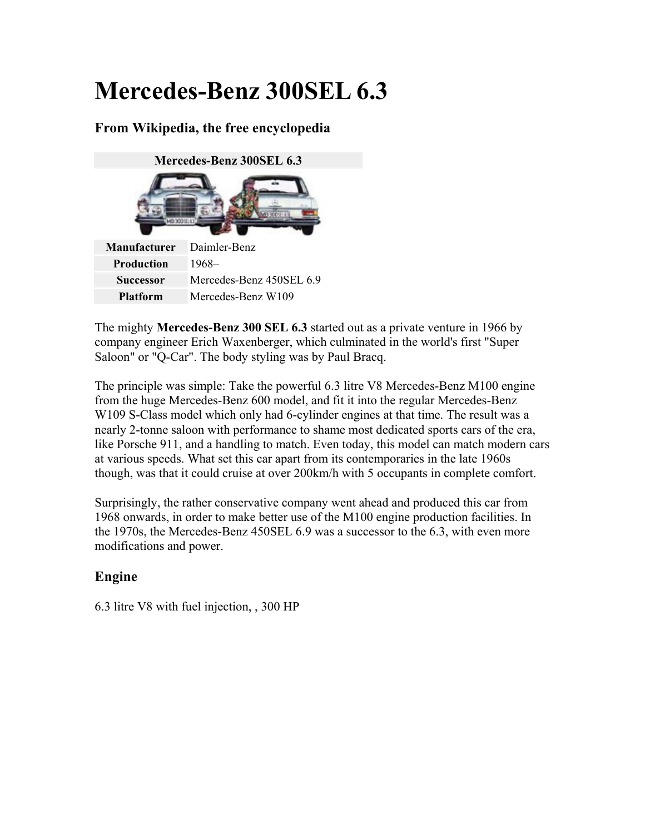# **Mercedes-Benz 300SEL 6.3**

# **From Wikipedia, the free encyclopedia**



**Successor** Mercedes-Benz 450SEL 6.9 **Platform** Mercedes-Benz W109

The mighty **Mercedes-Benz 300 SEL 6.3** started out as a private venture in 1966 by company engineer Erich Waxenberger, which culminated in the world's first "Super Saloon" or "Q-Car". The body styling was by Paul Bracq.

The principle was simple: Take the powerful 6.3 litre V8 Mercedes-Benz M100 engine from the huge Mercedes-Benz 600 model, and fit it into the regular Mercedes-Benz W109 S-Class model which only had 6-cylinder engines at that time. The result was a nearly 2-tonne saloon with performance to shame most dedicated sports cars of the era, like Porsche 911, and a handling to match. Even today, this model can match modern cars at various speeds. What set this car apart from its contemporaries in the late 1960s though, was that it could cruise at over 200km/h with 5 occupants in complete comfort.

Surprisingly, the rather conservative company went ahead and produced this car from 1968 onwards, in order to make better use of the M100 engine production facilities. In the 1970s, the Mercedes-Benz 450SEL 6.9 was a successor to the 6.3, with even more modifications and power.

## **Engine**

6.3 litre V8 with fuel injection, , 300 HP